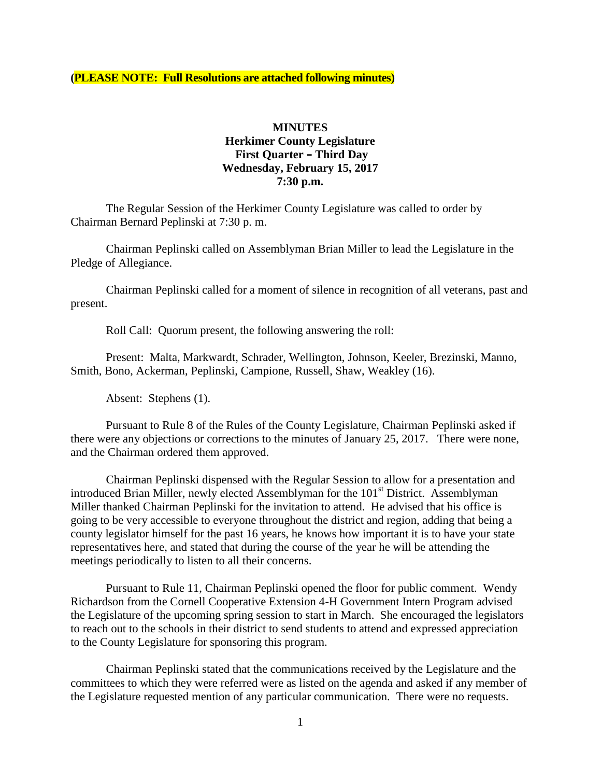**(PLEASE NOTE: Full Resolutions are attached following minutes)**

### **MINUTES Herkimer County Legislature First Quarter – Third Day Wednesday, February 15, 2017 7:30 p.m.**

The Regular Session of the Herkimer County Legislature was called to order by Chairman Bernard Peplinski at 7:30 p. m.

Chairman Peplinski called on Assemblyman Brian Miller to lead the Legislature in the Pledge of Allegiance.

Chairman Peplinski called for a moment of silence in recognition of all veterans, past and present.

Roll Call: Quorum present, the following answering the roll:

Present: Malta, Markwardt, Schrader, Wellington, Johnson, Keeler, Brezinski, Manno, Smith, Bono, Ackerman, Peplinski, Campione, Russell, Shaw, Weakley (16).

Absent: Stephens (1).

Pursuant to Rule 8 of the Rules of the County Legislature, Chairman Peplinski asked if there were any objections or corrections to the minutes of January 25, 2017. There were none, and the Chairman ordered them approved.

Chairman Peplinski dispensed with the Regular Session to allow for a presentation and introduced Brian Miller, newly elected Assemblyman for the 101<sup>st</sup> District. Assemblyman Miller thanked Chairman Peplinski for the invitation to attend. He advised that his office is going to be very accessible to everyone throughout the district and region, adding that being a county legislator himself for the past 16 years, he knows how important it is to have your state representatives here, and stated that during the course of the year he will be attending the meetings periodically to listen to all their concerns.

Pursuant to Rule 11, Chairman Peplinski opened the floor for public comment. Wendy Richardson from the Cornell Cooperative Extension 4-H Government Intern Program advised the Legislature of the upcoming spring session to start in March. She encouraged the legislators to reach out to the schools in their district to send students to attend and expressed appreciation to the County Legislature for sponsoring this program.

Chairman Peplinski stated that the communications received by the Legislature and the committees to which they were referred were as listed on the agenda and asked if any member of the Legislature requested mention of any particular communication. There were no requests.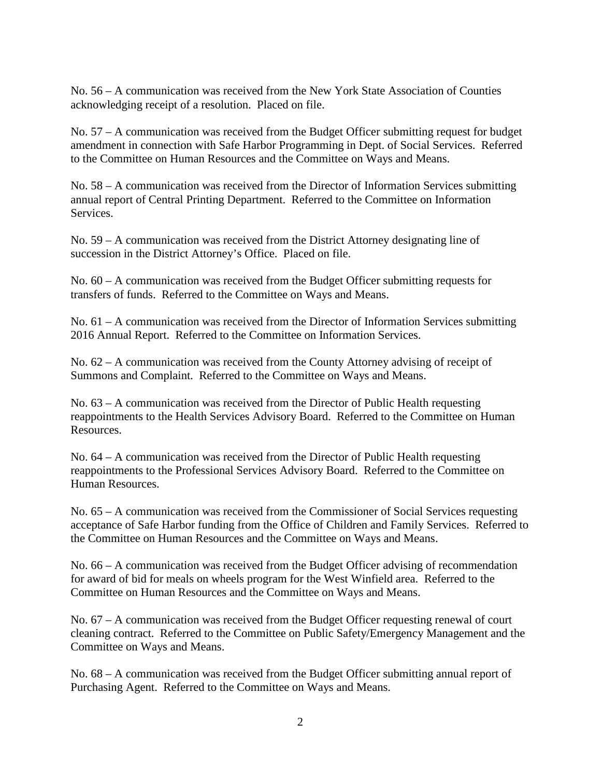No. 56 – A communication was received from the New York State Association of Counties acknowledging receipt of a resolution. Placed on file.

No. 57 – A communication was received from the Budget Officer submitting request for budget amendment in connection with Safe Harbor Programming in Dept. of Social Services. Referred to the Committee on Human Resources and the Committee on Ways and Means.

No. 58 – A communication was received from the Director of Information Services submitting annual report of Central Printing Department. Referred to the Committee on Information **Services** 

No. 59 – A communication was received from the District Attorney designating line of succession in the District Attorney's Office. Placed on file.

No. 60 – A communication was received from the Budget Officer submitting requests for transfers of funds. Referred to the Committee on Ways and Means.

No. 61 – A communication was received from the Director of Information Services submitting 2016 Annual Report. Referred to the Committee on Information Services.

No. 62 – A communication was received from the County Attorney advising of receipt of Summons and Complaint. Referred to the Committee on Ways and Means.

No. 63 – A communication was received from the Director of Public Health requesting reappointments to the Health Services Advisory Board. Referred to the Committee on Human Resources.

No. 64 – A communication was received from the Director of Public Health requesting reappointments to the Professional Services Advisory Board. Referred to the Committee on Human Resources.

No. 65 – A communication was received from the Commissioner of Social Services requesting acceptance of Safe Harbor funding from the Office of Children and Family Services. Referred to the Committee on Human Resources and the Committee on Ways and Means.

No. 66 – A communication was received from the Budget Officer advising of recommendation for award of bid for meals on wheels program for the West Winfield area. Referred to the Committee on Human Resources and the Committee on Ways and Means.

No. 67 – A communication was received from the Budget Officer requesting renewal of court cleaning contract. Referred to the Committee on Public Safety/Emergency Management and the Committee on Ways and Means.

No. 68 – A communication was received from the Budget Officer submitting annual report of Purchasing Agent. Referred to the Committee on Ways and Means.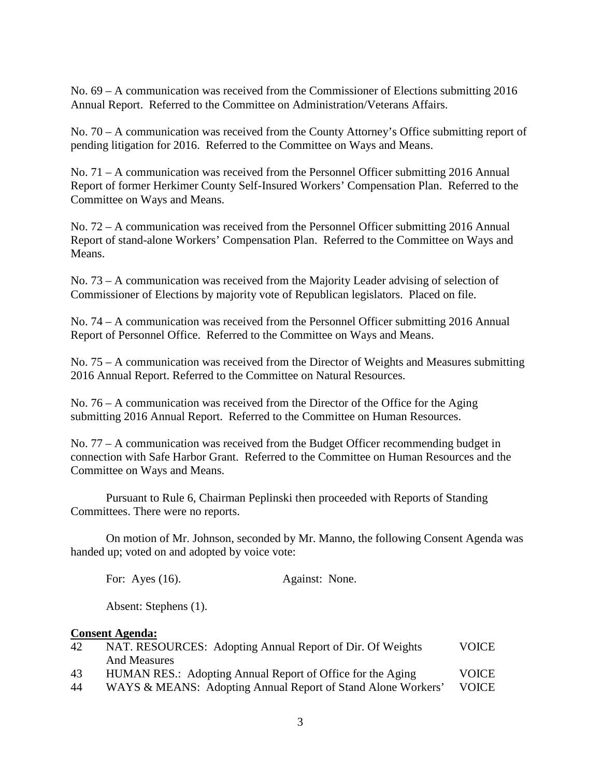No. 69 – A communication was received from the Commissioner of Elections submitting 2016 Annual Report. Referred to the Committee on Administration/Veterans Affairs.

No. 70 – A communication was received from the County Attorney's Office submitting report of pending litigation for 2016. Referred to the Committee on Ways and Means.

No. 71 – A communication was received from the Personnel Officer submitting 2016 Annual Report of former Herkimer County Self-Insured Workers' Compensation Plan. Referred to the Committee on Ways and Means.

No. 72 – A communication was received from the Personnel Officer submitting 2016 Annual Report of stand-alone Workers' Compensation Plan. Referred to the Committee on Ways and Means.

No. 73 – A communication was received from the Majority Leader advising of selection of Commissioner of Elections by majority vote of Republican legislators. Placed on file.

No. 74 – A communication was received from the Personnel Officer submitting 2016 Annual Report of Personnel Office. Referred to the Committee on Ways and Means.

No. 75 – A communication was received from the Director of Weights and Measures submitting 2016 Annual Report. Referred to the Committee on Natural Resources.

No. 76 – A communication was received from the Director of the Office for the Aging submitting 2016 Annual Report. Referred to the Committee on Human Resources.

No. 77 – A communication was received from the Budget Officer recommending budget in connection with Safe Harbor Grant. Referred to the Committee on Human Resources and the Committee on Ways and Means.

Pursuant to Rule 6, Chairman Peplinski then proceeded with Reports of Standing Committees. There were no reports.

On motion of Mr. Johnson, seconded by Mr. Manno, the following Consent Agenda was handed up; voted on and adopted by voice vote:

For: Ayes (16). Against: None.

Absent: Stephens (1).

#### **Consent Agenda:**

| 42 | NAT. RESOURCES: Adopting Annual Report of Dir. Of Weights    | <b>VOICE</b> |  |
|----|--------------------------------------------------------------|--------------|--|
|    | <b>And Measures</b>                                          |              |  |
| 43 | HUMAN RES.: Adopting Annual Report of Office for the Aging   | <b>VOICE</b> |  |
| 44 | WAYS & MEANS: Adopting Annual Report of Stand Alone Workers' | <b>VOICE</b> |  |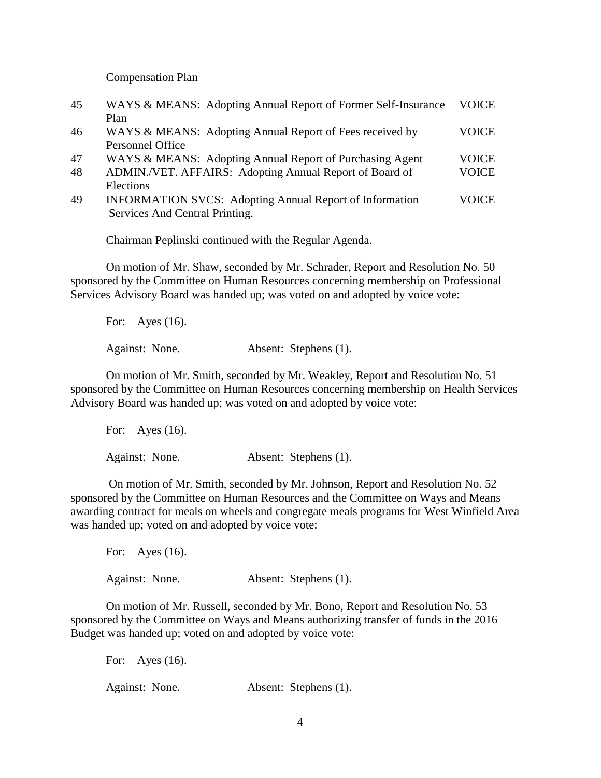Compensation Plan

| 45 | WAYS & MEANS: Adopting Annual Report of Former Self-Insurance  | <b>VOICE</b> |
|----|----------------------------------------------------------------|--------------|
|    | Plan                                                           |              |
| 46 | WAYS & MEANS: Adopting Annual Report of Fees received by       | <b>VOICE</b> |
|    | Personnel Office                                               |              |
| 47 | WAYS & MEANS: Adopting Annual Report of Purchasing Agent       | <b>VOICE</b> |
| 48 | ADMIN./VET. AFFAIRS: Adopting Annual Report of Board of        | <b>VOICE</b> |
|    | Elections                                                      |              |
| 49 | <b>INFORMATION SVCS:</b> Adopting Annual Report of Information | <b>VOICE</b> |
|    | Services And Central Printing.                                 |              |

Chairman Peplinski continued with the Regular Agenda.

On motion of Mr. Shaw, seconded by Mr. Schrader, Report and Resolution No. 50 sponsored by the Committee on Human Resources concerning membership on Professional Services Advisory Board was handed up; was voted on and adopted by voice vote:

For: Ayes (16). Against: None. Absent: Stephens (1).

On motion of Mr. Smith, seconded by Mr. Weakley, Report and Resolution No. 51 sponsored by the Committee on Human Resources concerning membership on Health Services Advisory Board was handed up; was voted on and adopted by voice vote:

For: Ayes (16). Against: None. Absent: Stephens (1).

On motion of Mr. Smith, seconded by Mr. Johnson, Report and Resolution No. 52 sponsored by the Committee on Human Resources and the Committee on Ways and Means awarding contract for meals on wheels and congregate meals programs for West Winfield Area was handed up; voted on and adopted by voice vote:

For: Ayes (16). Against: None. Absent: Stephens (1).

On motion of Mr. Russell, seconded by Mr. Bono, Report and Resolution No. 53 sponsored by the Committee on Ways and Means authorizing transfer of funds in the 2016 Budget was handed up; voted on and adopted by voice vote:

For: Ayes (16). Against: None. Absent: Stephens (1).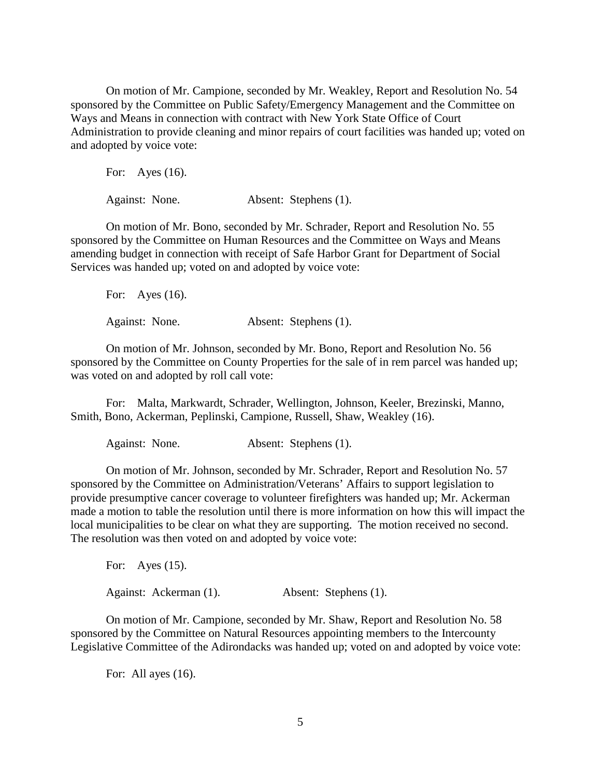On motion of Mr. Campione, seconded by Mr. Weakley, Report and Resolution No. 54 sponsored by the Committee on Public Safety/Emergency Management and the Committee on Ways and Means in connection with contract with New York State Office of Court Administration to provide cleaning and minor repairs of court facilities was handed up; voted on and adopted by voice vote:

For: Ayes (16). Against: None. Absent: Stephens (1).

On motion of Mr. Bono, seconded by Mr. Schrader, Report and Resolution No. 55 sponsored by the Committee on Human Resources and the Committee on Ways and Means amending budget in connection with receipt of Safe Harbor Grant for Department of Social Services was handed up; voted on and adopted by voice vote:

For: Ayes (16). Against: None. Absent: Stephens (1).

On motion of Mr. Johnson, seconded by Mr. Bono, Report and Resolution No. 56 sponsored by the Committee on County Properties for the sale of in rem parcel was handed up; was voted on and adopted by roll call vote:

For: Malta, Markwardt, Schrader, Wellington, Johnson, Keeler, Brezinski, Manno, Smith, Bono, Ackerman, Peplinski, Campione, Russell, Shaw, Weakley (16).

Against: None. Absent: Stephens (1).

On motion of Mr. Johnson, seconded by Mr. Schrader, Report and Resolution No. 57 sponsored by the Committee on Administration/Veterans' Affairs to support legislation to provide presumptive cancer coverage to volunteer firefighters was handed up; Mr. Ackerman made a motion to table the resolution until there is more information on how this will impact the local municipalities to be clear on what they are supporting. The motion received no second. The resolution was then voted on and adopted by voice vote:

For: Ayes (15). Against: Ackerman (1). Absent: Stephens (1).

On motion of Mr. Campione, seconded by Mr. Shaw, Report and Resolution No. 58 sponsored by the Committee on Natural Resources appointing members to the Intercounty Legislative Committee of the Adirondacks was handed up; voted on and adopted by voice vote:

For: All ayes  $(16)$ .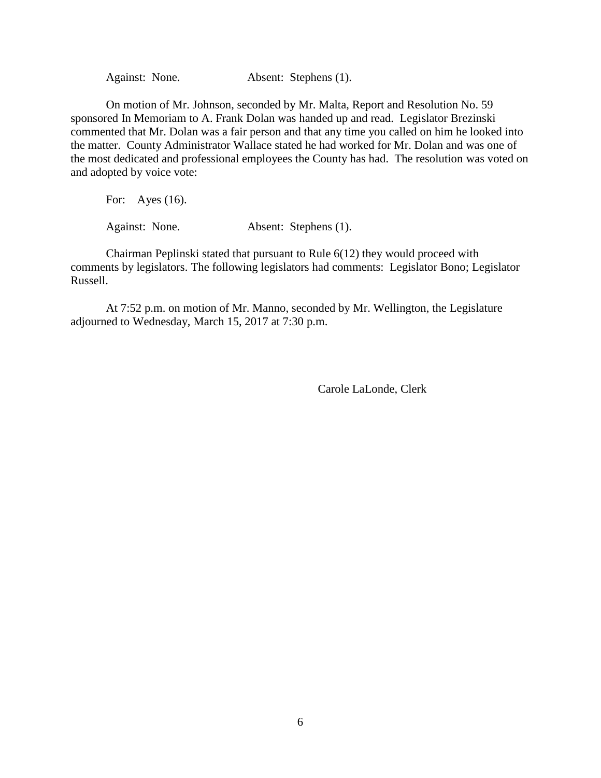Against: None. Absent: Stephens (1).

On motion of Mr. Johnson, seconded by Mr. Malta, Report and Resolution No. 59 sponsored In Memoriam to A. Frank Dolan was handed up and read. Legislator Brezinski commented that Mr. Dolan was a fair person and that any time you called on him he looked into the matter. County Administrator Wallace stated he had worked for Mr. Dolan and was one of the most dedicated and professional employees the County has had. The resolution was voted on and adopted by voice vote:

For: Ayes (16).

Against: None. Absent: Stephens (1).

Chairman Peplinski stated that pursuant to Rule 6(12) they would proceed with comments by legislators. The following legislators had comments: Legislator Bono; Legislator Russell.

At 7:52 p.m. on motion of Mr. Manno, seconded by Mr. Wellington, the Legislature adjourned to Wednesday, March 15, 2017 at 7:30 p.m.

Carole LaLonde, Clerk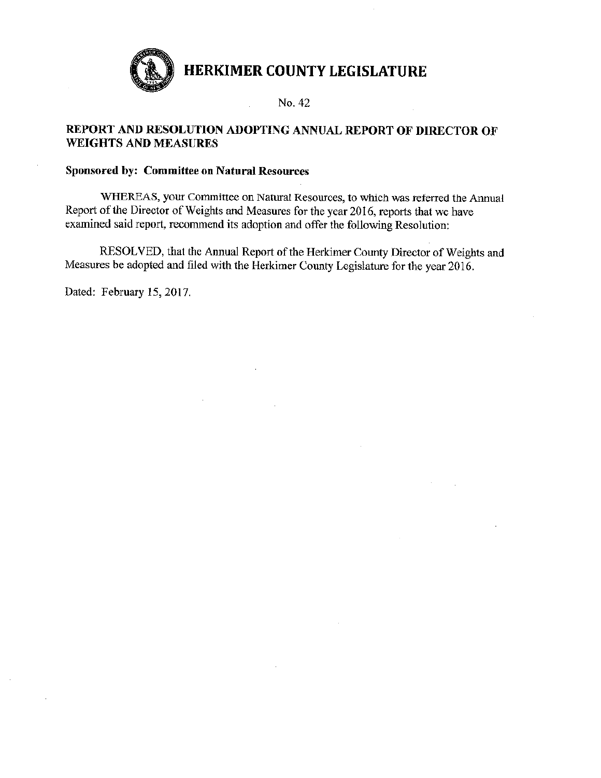

No. 42

## REPORT AND RESOLUTION ADOPTING ANNUAL REPORT OF DIRECTOR OF **WEIGHTS AND MEASURES**

#### **Sponsored by: Committee on Natural Resources**

WHEREAS, your Committee on Natural Resources, to which was referred the Annual Report of the Director of Weights and Measures for the year 2016, reports that we have examined said report, recommend its adoption and offer the following Resolution:

RESOLVED, that the Annual Report of the Herkimer County Director of Weights and Measures be adopted and filed with the Herkimer County Legislature for the year 2016.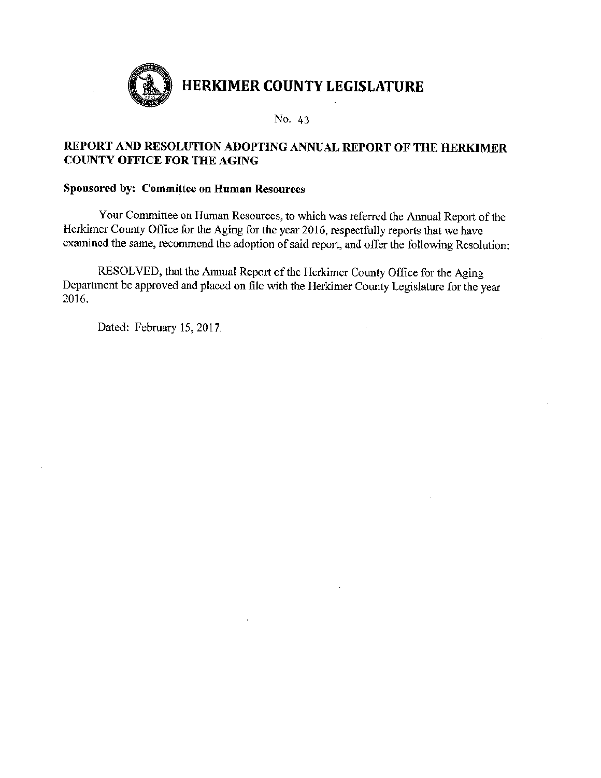

## REPORT AND RESOLUTION ADOPTING ANNUAL REPORT OF THE HERKIMER **COUNTY OFFICE FOR THE AGING**

## Sponsored by: Committee on Human Resources

Your Committee on Human Resources, to which was referred the Annual Report of the Herkimer County Office for the Aging for the year 2016, respectfully reports that we have examined the same, recommend the adoption of said report, and offer the following Resolution:

RESOLVED, that the Annual Report of the Herkimer County Office for the Aging Department be approved and placed on file with the Herkimer County Legislature for the year 2016.

 $\overline{\phantom{a}}$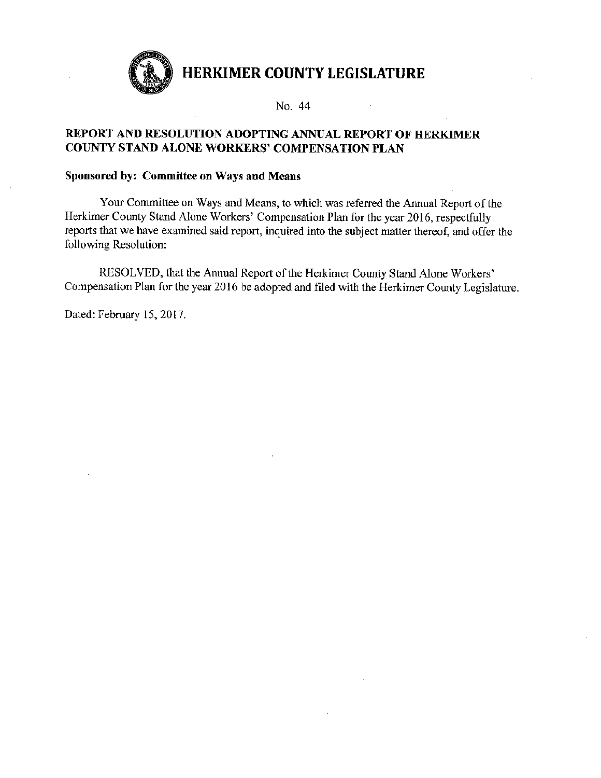

No. 44

## REPORT AND RESOLUTION ADOPTING ANNUAL REPORT OF HERKIMER COUNTY STAND ALONE WORKERS' COMPENSATION PLAN

#### Sponsored by: Committee on Ways and Means

Your Committee on Ways and Means, to which was referred the Annual Report of the Herkimer County Stand Alone Workers' Compensation Plan for the year 2016, respectfully reports that we have examined said report, inquired into the subject matter thereof, and offer the following Resolution:

RESOLVED, that the Annual Report of the Herkimer County Stand Alone Workers' Compensation Plan for the year 2016 be adopted and filed with the Herkimer County Legislature.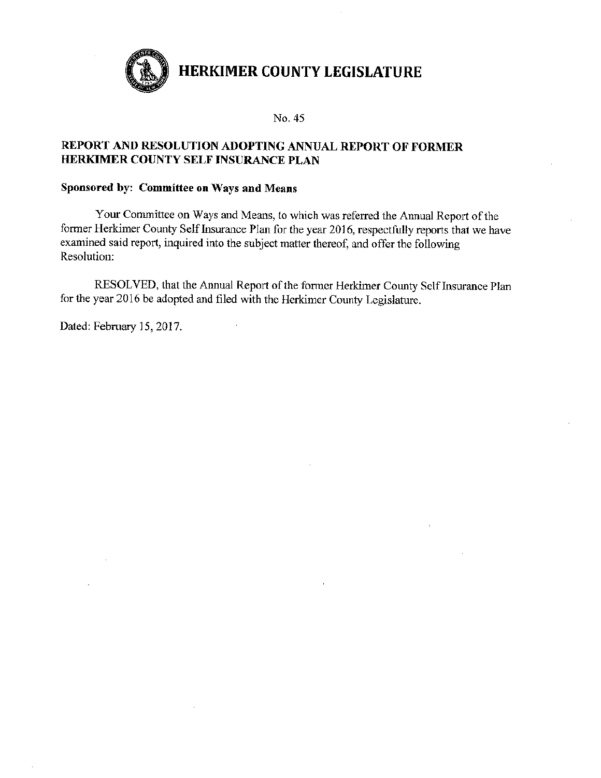

#### No. 45

## REPORT AND RESOLUTION ADOPTING ANNUAL REPORT OF FORMER HERKIMER COUNTY SELF INSURANCE PLAN

#### Sponsored by: Committee on Ways and Means

Your Committee on Ways and Means, to which was referred the Annual Report of the former Herkimer County Self Insurance Plan for the year 2016, respectfully reports that we have examined said report, inquired into the subject matter thereof, and offer the following Resolution:

RESOLVED, that the Annual Report of the former Herkimer County Self Insurance Plan for the year 2016 be adopted and filed with the Herkimer County Legislature.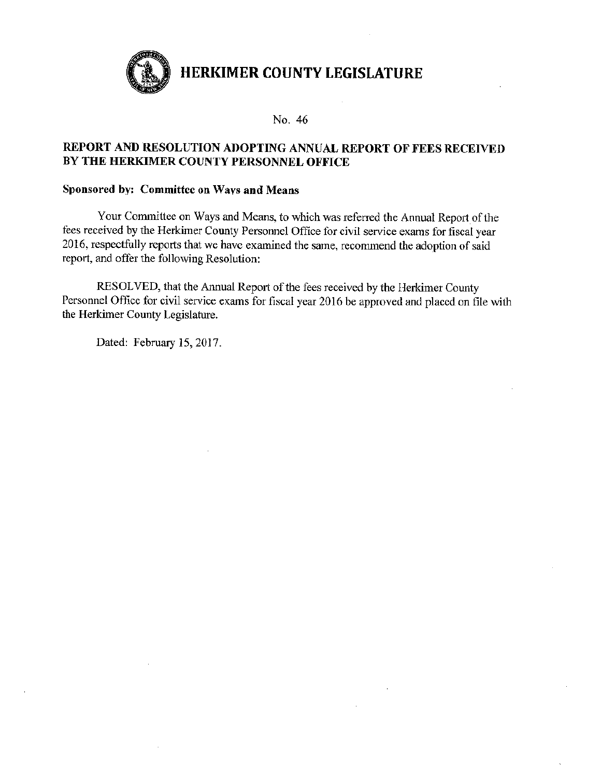

#### No. 46

## REPORT AND RESOLUTION ADOPTING ANNUAL REPORT OF FEES RECEIVED BY THE HERKIMER COUNTY PERSONNEL OFFICE

#### Sponsored by: Committee on Ways and Means

Your Committee on Ways and Means, to which was referred the Annual Report of the fees received by the Herkimer County Personnel Office for civil service exams for fiscal year 2016, respectfully reports that we have examined the same, recommend the adoption of said report, and offer the following Resolution:

RESOLVED, that the Annual Report of the fees received by the Herkimer County Personnel Office for civil service exams for fiscal year 2016 be approved and placed on file with the Herkimer County Legislature.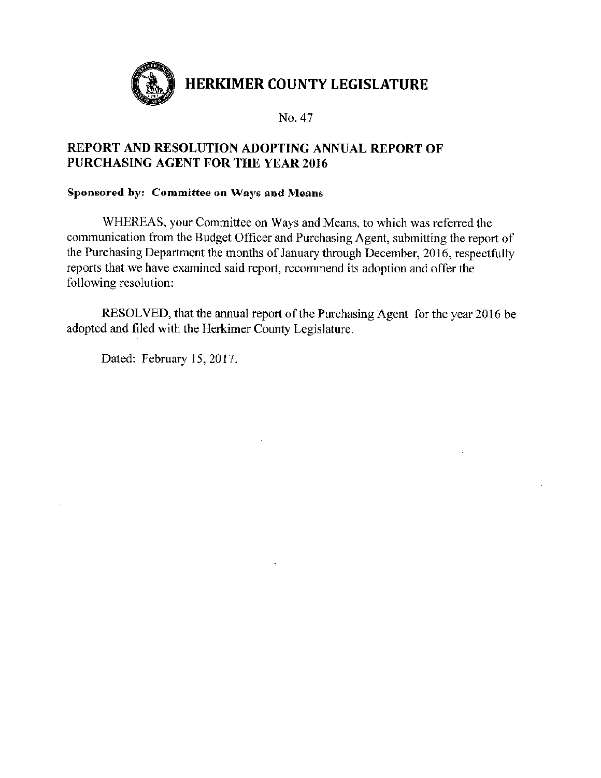

## REPORT AND RESOLUTION ADOPTING ANNUAL REPORT OF PURCHASING AGENT FOR THE YEAR 2016

## Sponsored by: Committee on Ways and Means

WHEREAS, your Committee on Ways and Means, to which was referred the communication from the Budget Officer and Purchasing Agent, submitting the report of the Purchasing Department the months of January through December, 2016, respectfully reports that we have examined said report, recommend its adoption and offer the following resolution:

RESOLVED, that the annual report of the Purchasing Agent for the year 2016 be adopted and filed with the Herkimer County Legislature.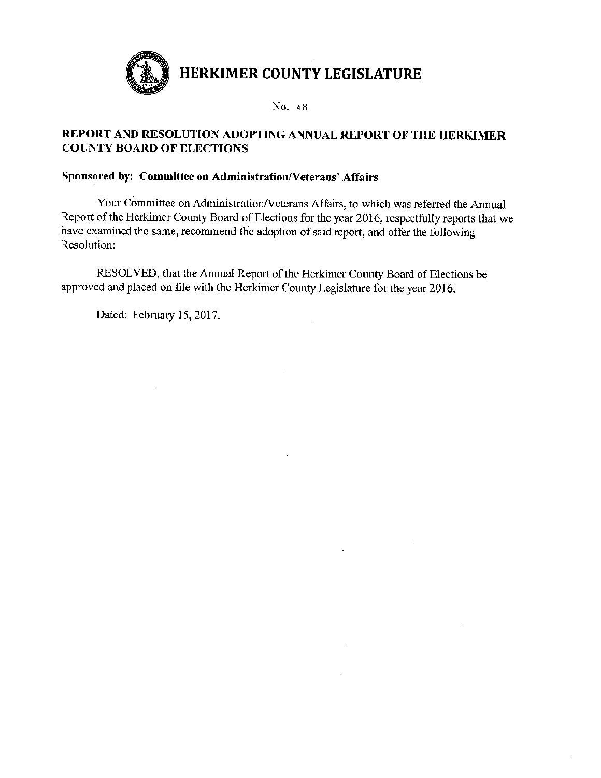

## REPORT AND RESOLUTION ADOPTING ANNUAL REPORT OF THE HERKIMER **COUNTY BOARD OF ELECTIONS**

## Sponsored by: Committee on Administration/Veterans' Affairs

Your Committee on Administration/Veterans Affairs, to which was referred the Annual Report of the Herkimer County Board of Elections for the year 2016, respectfully reports that we have examined the same, recommend the adoption of said report, and offer the following Resolution:

 $\mathcal{L}^{\mathcal{A}}$ 

RESOLVED, that the Annual Report of the Herkimer County Board of Elections be approved and placed on file with the Herkimer County Legislature for the year 2016.

Dated: February 15, 2017.

 $\mathcal{L}_{\mathrm{eff}}$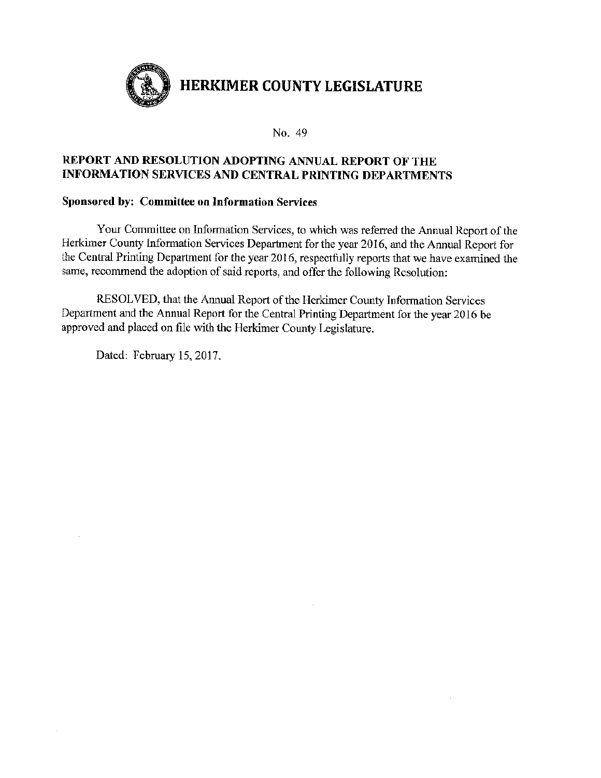

## REPORT AND RESOLUTION ADOPTING ANNUAL REPORT OF THE **INFORMATION SERVICES AND CENTRAL PRINTING DEPARTMENTS**

### Sponsored by: Committee on Information Services

Your Committee on Information Services, to which was referred the Annual Report of the Herkimer County Information Services Department for the year 2016, and the Annual Report for the Central Printing Department for the year 2016, respectfully reports that we have examined the same, recommend the adoption of said reports, and offer the following Resolution:

RESOLVED, that the Annual Report of the Herkimer County Information Services Department and the Annual Report for the Central Printing Department for the year 2016 be approved and placed on file with the Herkimer County Legislature.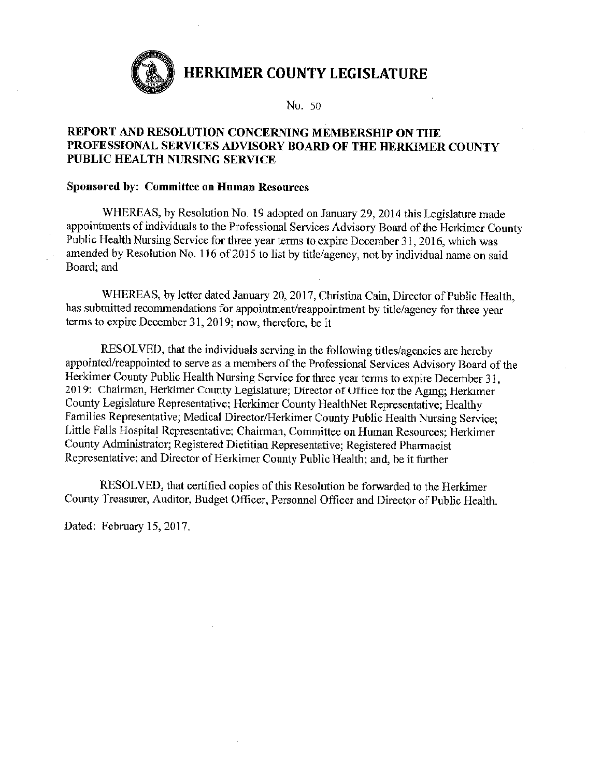

No. 50

## REPORT AND RESOLUTION CONCERNING MEMBERSHIP ON THE PROFESSIONAL SERVICES ADVISORY BOARD OF THE HERKIMER COUNTY PUBLIC HEALTH NURSING SERVICE

#### **Sponsored by: Committee on Human Resources**

WHEREAS, by Resolution No. 19 adopted on January 29, 2014 this Legislature made appointments of individuals to the Professional Services Advisory Board of the Herkimer County Public Health Nursing Service for three year terms to expire December 31, 2016, which was amended by Resolution No. 116 of 2015 to list by title/agency, not by individual name on said Board: and

WHEREAS, by letter dated January 20, 2017, Christina Cain, Director of Public Health. has submitted recommendations for appointment/reappointment by title/agency for three year terms to expire December 31, 2019; now, therefore, be it

RESOLVED, that the individuals serving in the following titles/agencies are hereby appointed/reappointed to serve as a members of the Professional Services Advisory Board of the Herkimer County Public Health Nursing Service for three year terms to expire December 31, 2019: Chairman, Herkimer County Legislature; Director of Office for the Aging; Herkimer County Legislature Representative; Herkimer County HealthNet Representative; Healthy Families Representative; Medical Director/Herkimer County Public Health Nursing Service; Little Falls Hospital Representative; Chairman, Committee on Human Resources; Herkimer County Administrator; Registered Dietitian Representative; Registered Pharmacist Representative; and Director of Herkimer County Public Health; and, be it further

RESOLVED, that certified copies of this Resolution be forwarded to the Herkimer County Treasurer, Auditor, Budget Officer, Personnel Officer and Director of Public Health.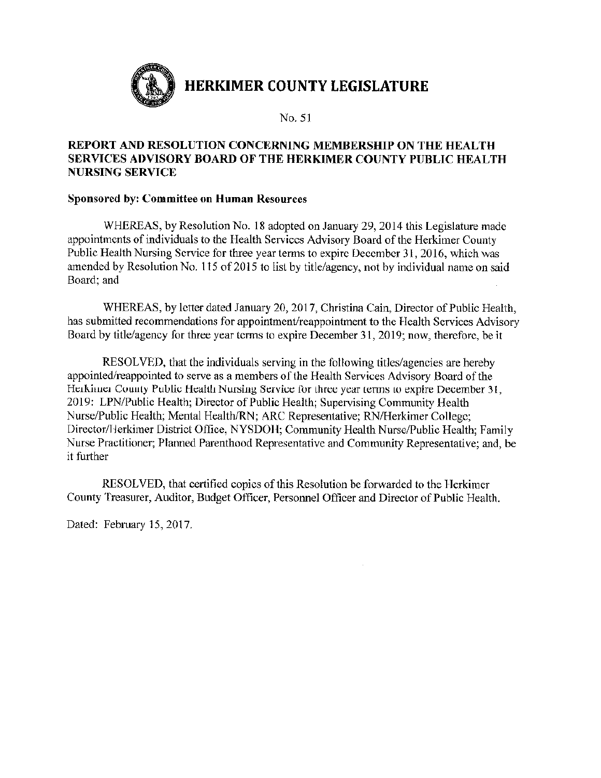

## REPORT AND RESOLUTION CONCERNING MEMBERSHIP ON THE HEALTH SERVICES ADVISORY BOARD OF THE HERKIMER COUNTY PUBLIC HEALTH **NURSING SERVICE**

#### **Sponsored by: Committee on Human Resources**

WHEREAS, by Resolution No. 18 adopted on January 29, 2014 this Legislature made appointments of individuals to the Health Services Advisory Board of the Herkimer County Public Health Nursing Service for three year terms to expire December 31, 2016, which was amended by Resolution No. 115 of 2015 to list by title/agency, not by individual name on said Board: and

WHEREAS, by letter dated January 20, 2017, Christina Cain, Director of Public Health, has submitted recommendations for appointment/reappointment to the Health Services Advisory Board by title/agency for three year terms to expire December 31, 2019; now, therefore, be it

RESOLVED, that the individuals serving in the following titles/agencies are hereby appointed/reappointed to serve as a members of the Health Services Advisory Board of the Herkimer County Public Health Nursing Service for three year terms to expire December 31, 2019: LPN/Public Health; Director of Public Health; Supervising Community Health Nurse/Public Health; Mental Health/RN; ARC Representative; RN/Herkimer College; Director/Herkimer District Office, NYSDOH; Community Health Nurse/Public Health; Family Nurse Practitioner; Planned Parenthood Representative and Community Representative; and, be it further

RESOLVED, that certified copies of this Resolution be forwarded to the Herkimer County Treasurer, Auditor, Budget Officer, Personnel Officer and Director of Public Health.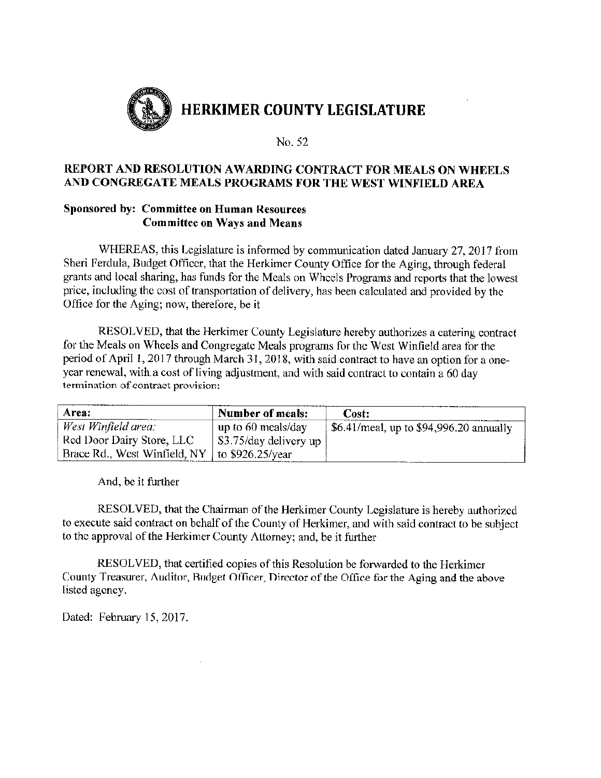

## REPORT AND RESOLUTION AWARDING CONTRACT FOR MEALS ON WHEELS AND CONGREGATE MEALS PROGRAMS FOR THE WEST WINFIELD AREA

## **Sponsored by: Committee on Human Resources Committee on Ways and Means**

WHEREAS, this Legislature is informed by communication dated January 27, 2017 from Sheri Ferdula, Budget Officer, that the Herkimer County Office for the Aging, through federal grants and local sharing, has funds for the Meals on Wheels Programs and reports that the lowest price, including the cost of transportation of delivery, has been calculated and provided by the Office for the Aging; now, therefore, be it

RESOLVED, that the Herkimer County Legislature hereby authorizes a catering contract for the Meals on Wheels and Congregate Meals programs for the West Winfield area for the period of April 1, 2017 through March 31, 2018, with said contract to have an option for a oneyear renewal, with a cost of living adjustment, and with said contract to contain a 60 day termination of contract provision:

| Area:                                             | <b>Number of meals:</b> | Cost:                                                 |
|---------------------------------------------------|-------------------------|-------------------------------------------------------|
| West Winfield area:                               | up to 60 meals/day      | $\frac{1}{2}$ \$6.41/meal, up to \$94,996.20 annually |
| Red Door Dairy Store, LLC                         | \$3.75/day delivery up  |                                                       |
| Brace Rd., West Winfield, NY   to $$926.25$ /year |                         |                                                       |

And, be it further

RESOLVED, that the Chairman of the Herkimer County Legislature is hereby authorized to execute said contract on behalf of the County of Herkimer, and with said contract to be subject to the approval of the Herkimer County Attorney; and, be it further

RESOLVED, that certified copies of this Resolution be forwarded to the Herkimer County Treasurer, Auditor, Budget Officer, Director of the Office for the Aging and the above listed agency.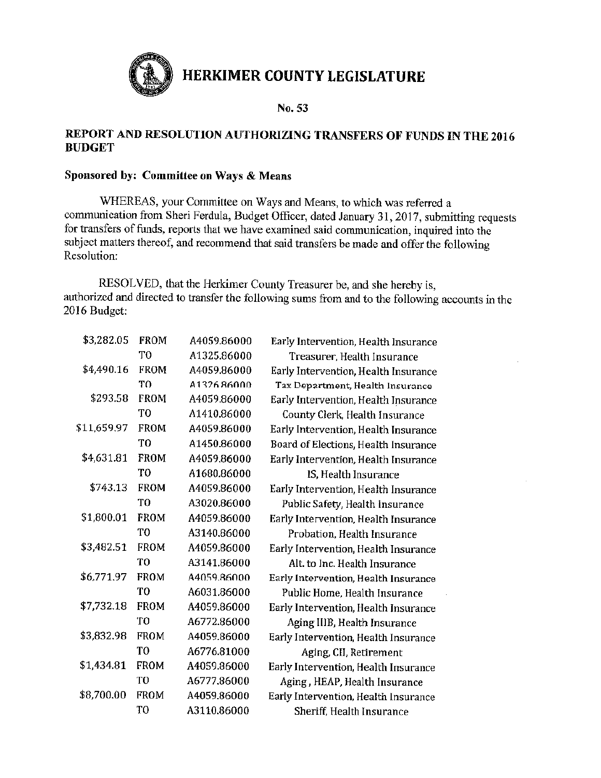

No. 53

#### REPORT AND RESOLUTION AUTHORIZING TRANSFERS OF FUNDS IN THE 2016 **BUDGET**

#### Sponsored by: Committee on Ways & Means

WHEREAS, your Committee on Ways and Means, to which was referred a communication from Sheri Ferdula, Budget Officer, dated January 31, 2017, submitting requests for transfers of funds, reports that we have examined said communication, inquired into the subject matters thereof, and recommend that said transfers be made and offer the following Resolution:

RESOLVED, that the Herkimer County Treasurer be, and she hereby is. authorized and directed to transfer the following sums from and to the following accounts in the 2016 Budget:

| \$3,282.05  | FROM        | A4059.86000 |
|-------------|-------------|-------------|
|             | TO          | A1325.86000 |
| \$4,490.16  | <b>FROM</b> | A4059.86000 |
|             | TО          | A1326 86000 |
| \$293.58    | FROM        | A4059.86000 |
|             | TО          | A1410.86000 |
| \$11,659.97 | FROM        | A4059.86000 |
|             | T0          | A1450.86000 |
| \$4,631.81  | FROM        | A4059.86000 |
|             | TО          | A1680.86000 |
| \$743.13    | FROM        | A4059.86000 |
|             | TO          | A3020.86000 |
| \$1,800.01  | FROM        | A4059.86000 |
|             | TΩ          | A3140.86000 |
| \$3,482.51  | FROM        | A4059.86000 |
|             | TО          | A3141.86000 |
| \$6,771.97  | <b>FROM</b> | A4059.86000 |
|             | TО          | A6031.86000 |
| \$7,732.18  | FROM        | A4059.86000 |
|             | TO          | A6772.86000 |
| \$3,832.98  | FROM        | A4059.86000 |
|             | TО          | A6776.81000 |
| \$1,434.81  | FROM        | A4059.86000 |
|             | TO          | A6777.86000 |
| \$8,700.00  | FROM        | A4059.86000 |
|             | TО          | A3110.86000 |
|             |             |             |

Early Intervention, Health Insurance Treasurer, Health Insurance Early Intervention, Health Insurance Tax Department, Health Insurance Early Intervention, Health Insurance County Clerk, Health Insurance Early Intervention, Health Insurance Board of Elections, Health Insurance Early Intervention, Health Insurance IS, Health Insurance Early Intervention, Health Insurance Public Safety, Health Insurance Early Intervention, Health Insurance Probation, Health Insurance Early Intervention, Health Insurance Alt. to Inc. Health Insurance Early Intervention, Health Insurance Public Home, Health Insurance Early Intervention, Health Insurance Aging IIIB, Health Insurance Early Intervention, Health Insurance Aging, CII, Retirement Early Intervention, Health Insurance Aging, HEAP, Health Insurance Early Intervention, Health Insurance Sheriff, Health Insurance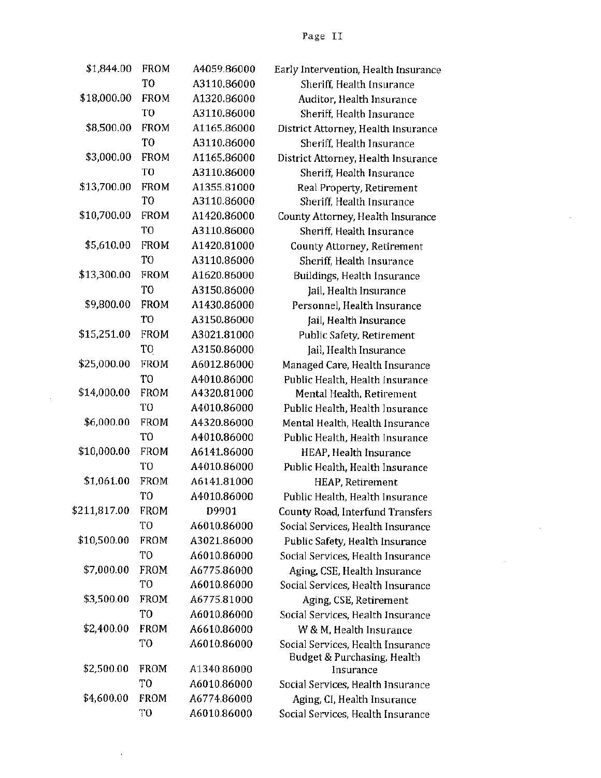| \$1,844.00   | FROM           | A4059.86000 |
|--------------|----------------|-------------|
|              | TO             | A3110.86000 |
| \$18,000.00  | <b>FROM</b>    | A1320.86000 |
|              | TO             | A3110.86000 |
| \$8,500.00   | <b>FROM</b>    | A1165.86000 |
|              | TО             | A3110.86000 |
| \$3,000.00   | FROM           | A1165.86000 |
|              | TO             | A3110.86000 |
| \$13,700.00  | <b>FROM</b>    | A1355.81000 |
|              | TO             | A3110.86000 |
| \$10,700.00  | FROM           | A1420.86000 |
|              | TO             | A3110.86000 |
| \$5,610.00   | FROM           | A1420.81000 |
|              | TО             | A3110.86000 |
| \$13,300.00  | <b>FROM</b>    | A1620.86000 |
|              | TO             | A3150.86000 |
| \$9,800.00   | <b>FROM</b>    | A1430.86000 |
|              | TO             | A3150.86000 |
| \$15,251.00  | <b>FROM</b>    | A3021.81000 |
|              | TО             | A3150.86000 |
| \$25,000.00  | <b>FROM</b>    | A6012.86000 |
|              | T <sub>0</sub> | A4010.86000 |
| \$14,000.00  | FROM           | A4320.81000 |
|              | T <sub>0</sub> | A4010.86000 |
| \$6,000.00   | <b>FROM</b>    | A4320.86000 |
|              | T0             | A4010.86000 |
| \$10,000.00  | FROM           | A6141.86000 |
|              | TO             | A4010.86000 |
| \$1,061.00   | <b>FROM</b>    | A6141.81000 |
|              | TO             | A4010.86000 |
| \$211,817.00 | <b>FROM</b>    | D9901       |
|              | TO             | A6010.86000 |
| \$10,500.00  | <b>FROM</b>    | A3021.86000 |
|              | TO             | A6010.86000 |
| \$7,000.00   | <b>FROM</b>    | A6775.86000 |
|              | TO             | A6010.86000 |
| \$3,500.00   | FROM           | A6775.81000 |
|              | TO             | A6010.86000 |
| \$2,400.00   | FROM           | A6610.86000 |
|              | TO             | A6010.86000 |
| \$2,500.00   | FROM           | A1340.86000 |
|              | TO             | A6010.86000 |
| \$4,600.00   | <b>FROM</b>    | A6774.86000 |
|              | TO             | A6010.86000 |

Early Intervention, Health Insurance Sheriff, Health Insurance Auditor, Health Insurance Sheriff, Health Insurance District Attorney, Health Insurance Sheriff, Health Insurance District Attorney, Health Insurance Sheriff, Health Insurance Real Property, Retirement Sheriff, Health Insurance County Attorney, Health Insurance Sheriff, Health Insurance County Attorney, Retirement Sheriff, Health Insurance Buildings, Health Insurance Jail, Health Insurance Personnel, Health Insurance *(ail, Health Insurance)* Public Safety, Retirement Jail, Health Insurance Managed Care, Health Insurance Public Health, Health Insurance Mental Health, Retirement Public Health, Health Insurance Mental Health, Health Insurance Public Health, Health Insurance HEAP, Health Insurance Public Health, Health Insurance HEAP, Retirement Public Health, Health Insurance County Road, Interfund Transfers Social Services, Health Insurance Public Safety, Health Insurance Social Services, Health Insurance Aging, CSE, Health Insurance Social Services, Health Insurance Aging, CSE, Retirement Social Services, Health Insurance W & M. Health Insurance Social Services, Health Insurance Budget & Purchasing, Health Insurance Social Services, Health Insurance Aging, CI, Health Insurance Social Services, Health Insurance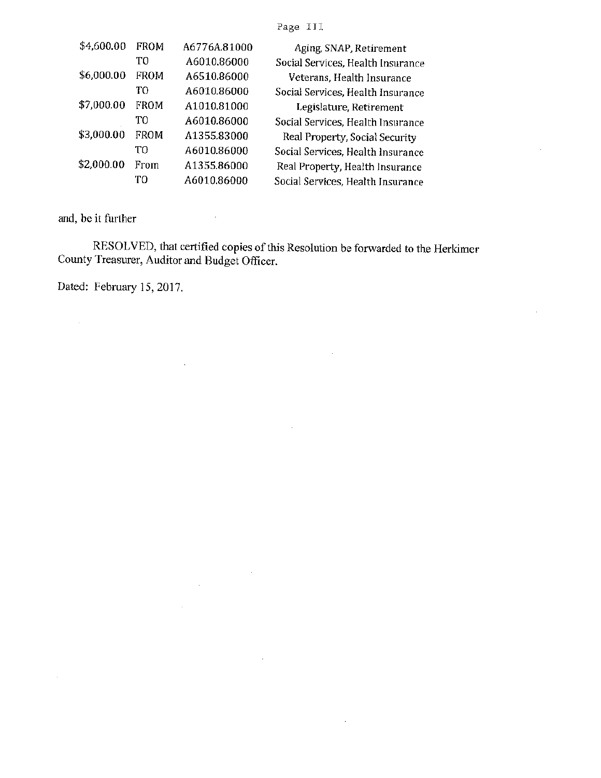Page III.

| \$4,600.00 | <b>FROM</b> | A6776A.81000 | Aging, SNAP, Retirement           |
|------------|-------------|--------------|-----------------------------------|
|            | TO          | A6010.86000  | Social Services, Health Insurance |
| \$6,000.00 | FROM        | A6510.86000  | Veterans, Health Insurance        |
|            | тo          | A6010.86000  | Social Services, Health Insurance |
| \$7,000.00 | FROM        | A1010.81000  | Legislature, Retirement           |
|            | T0          | A6010.86000  | Social Services, Health Insurance |
| \$3,000.00 | FROM        | A1355.83000  | Real Property, Social Security    |
|            | ፐቦ          | A6010.86000  | Social Services, Health Insurance |
| \$2,000.00 | From        | A1355.86000  | Real Property, Health Insurance   |
|            | TО          | A6010.86000  | Social Services, Health Insurance |

 $\sim$ 

 $\mathcal{A}$ 

and, be it further

 $\sim 10^7$ 

 $\bar{\mathcal{A}}$ 

RESOLVED, that certified copies of this Resolution be forwarded to the Herkimer County Treasurer, Auditor and Budget Officer.

 $\bar{\mathcal{A}}$ 

 $\sim 10^6$ 

L.

 $\frac{1}{2} \frac{1}{2} \frac{1}{2}$ 

 $\ddot{\phantom{0}}$ 

 $\hat{\boldsymbol{\beta}}$ 

 $\hat{\mathbf{r}}$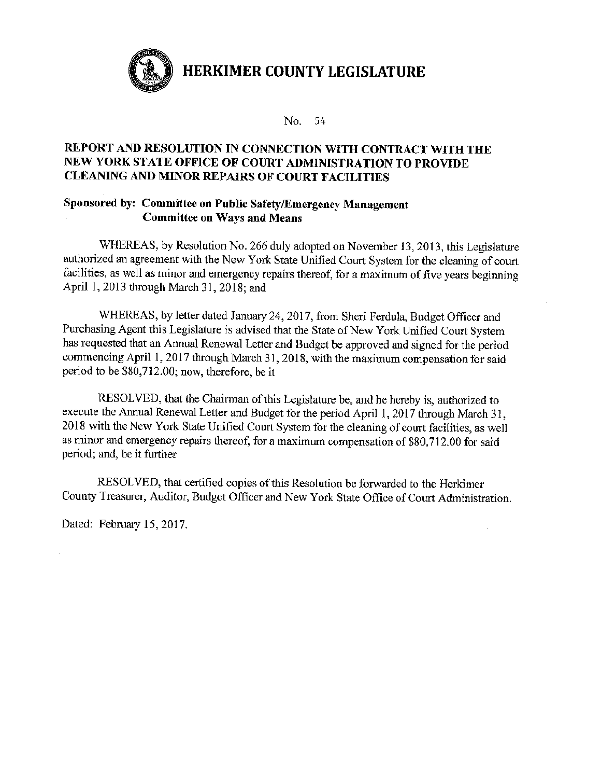

No. 54

## REPORT AND RESOLUTION IN CONNECTION WITH CONTRACT WITH THE NEW YORK STATE OFFICE OF COURT ADMINISTRATION TO PROVIDE **CLEANING AND MINOR REPAIRS OF COURT FACILITIES**

#### Sponsored by: Committee on Public Safety/Emergency Management **Committee on Ways and Means**

WHEREAS, by Resolution No. 266 duly adopted on November 13, 2013, this Legislature authorized an agreement with the New York State Unified Court System for the cleaning of court facilities, as well as minor and emergency repairs thereof, for a maximum of five years beginning April 1, 2013 through March 31, 2018; and

WHEREAS, by letter dated January 24, 2017, from Sheri Ferdula, Budget Officer and Purchasing Agent this Legislature is advised that the State of New York Unified Court System has requested that an Annual Renewal Letter and Budget be approved and signed for the period commencing April 1, 2017 through March 31, 2018, with the maximum compensation for said period to be \$80,712.00; now, therefore, be it

RESOLVED, that the Chairman of this Legislature be, and he hereby is, authorized to execute the Annual Renewal Letter and Budget for the period April 1, 2017 through March 31, 2018 with the New York State Unified Court System for the cleaning of court facilities, as well as minor and emergency repairs thereof, for a maximum compensation of \$80,712.00 for said period; and, be it further

RESOLVED, that certified copies of this Resolution be forwarded to the Herkimer County Treasurer, Auditor, Budget Officer and New York State Office of Court Administration.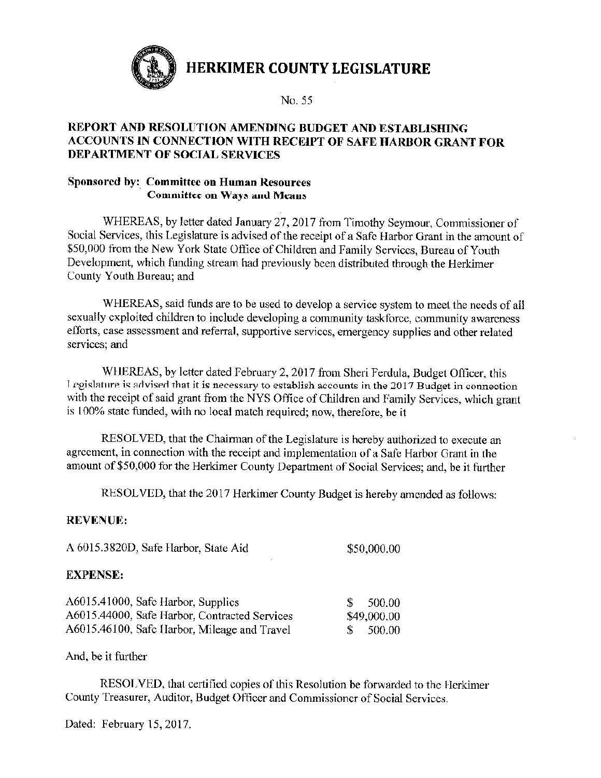

No. 55

## REPORT AND RESOLUTION AMENDING BUDGET AND ESTABLISHING ACCOUNTS IN CONNECTION WITH RECEIPT OF SAFE HARBOR GRANT FOR **DEPARTMENT OF SOCIAL SERVICES**

### Sponsored by: Committee on Human Resources **Committee on Ways and Means**

WHEREAS, by letter dated January 27, 2017 from Timothy Seymour, Commissioner of Social Services, this Legislature is advised of the receipt of a Safe Harbor Grant in the amount of \$50,000 from the New York State Office of Children and Family Services, Bureau of Youth Development, which funding stream had previously been distributed through the Herkimer County Youth Bureau; and

WHEREAS, said funds are to be used to develop a service system to meet the needs of all sexually exploited children to include developing a community taskforce, community awareness efforts, case assessment and referral, supportive services, emergency supplies and other related services: and

WHEREAS, by letter dated February 2, 2017 from Sheri Ferdula, Budget Officer, this Legislature is advised that it is necessary to establish accounts in the 2017 Budget in connection with the receipt of said grant from the NYS Office of Children and Family Services, which grant is 100% state funded, with no local match required; now, therefore, be it

RESOLVED, that the Chairman of the Legislature is hereby authorized to execute an agreement, in connection with the receipt and implementation of a Safe Harbor Grant in the amount of \$50,000 for the Herkimer County Department of Social Services; and, be it further

RESOLVED, that the 2017 Herkimer County Budget is hereby amended as follows:

## **REVENUE:**

| A 6015.3820D, Safe Harbor, State Aid                                                   | \$50,000.00 |
|----------------------------------------------------------------------------------------|-------------|
| <b>EXPENSE:</b>                                                                        |             |
| $\lambda$ / 01 $\sigma$ / 11000 $\sigma$ $\sigma$ $\sigma$ $\tau$ $\tau$ $\tau$ $\tau$ | - * * * *   |

| Ab015.41000, Sate Harbor, Supplies            | - 500.00    |
|-----------------------------------------------|-------------|
| A6015.44000, Safe Harbor, Contracted Services | \$49,000.00 |
| A6015.46100, Safe Harbor, Mileage and Travel  | - 500.00    |

And, be it further

RESOLVED, that certified copies of this Resolution be forwarded to the Herkimer County Treasurer, Auditor, Budget Officer and Commissioner of Social Services.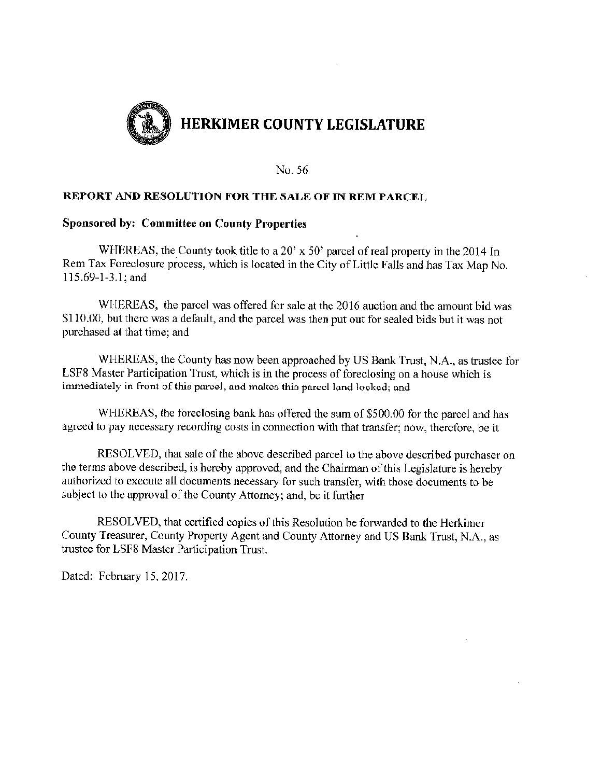

#### **REPORT AND RESOLUTION FOR THE SALE OF IN REM PARCEL**

#### **Sponsored by: Committee on County Properties**

WHEREAS, the County took title to a 20' x 50' parcel of real property in the 2014 In Rem Tax Foreclosure process, which is located in the City of Little Falls and has Tax Map No. 115.69-1-3.1; and

WHEREAS, the parcel was offered for sale at the 2016 auction and the amount bid was \$110.00, but there was a default, and the parcel was then put out for sealed bids but it was not purchased at that time; and

WHEREAS, the County has now been approached by US Bank Trust, N.A., as trustee for LSF8 Master Participation Trust, which is in the process of foreclosing on a house which is immediately in front of this parcel, and makes this parcel land locked; and

WHEREAS, the foreclosing bank has offered the sum of \$500.00 for the parcel and has agreed to pay necessary recording costs in connection with that transfer; now, therefore, be it

RESOLVED, that sale of the above described parcel to the above described purchaser on the terms above described, is hereby approved, and the Chairman of this Legislature is hereby authorized to execute all documents necessary for such transfer, with those documents to be subject to the approval of the County Attorney; and, be it further

RESOLVED, that certified copies of this Resolution be forwarded to the Herkimer County Treasurer, County Property Agent and County Attorney and US Bank Trust, N.A., as trustee for LSF8 Master Participation Trust.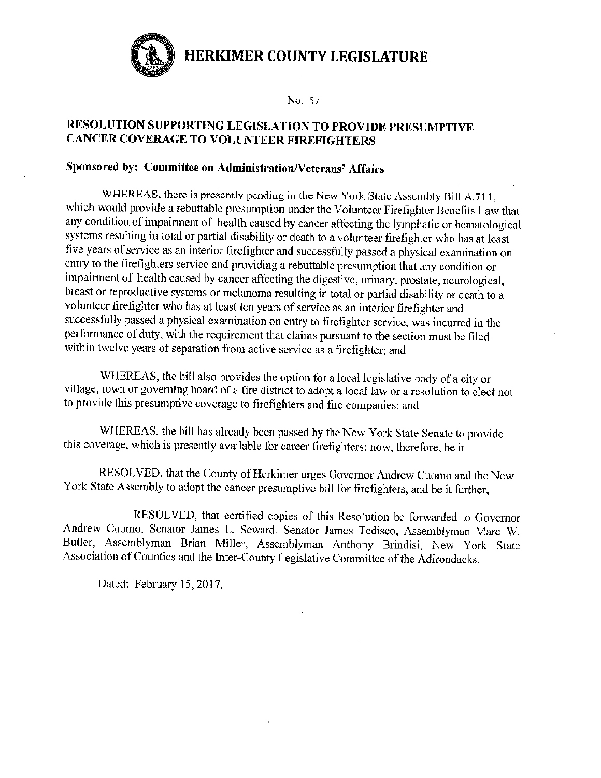

No. 57

## RESOLUTION SUPPORTING LEGISLATION TO PROVIDE PRESUMPTIVE **CANCER COVERAGE TO VOLUNTEER FIREFIGHTERS**

## Sponsored by: Committee on Administration/Veterans' Affairs

WHEREAS, there is presently pending in the New York State Assembly Bill A.711. which would provide a rebuttable presumption under the Volunteer Firefighter Benefits Law that any condition of impairment of health caused by cancer affecting the lymphatic or hematological systems resulting in total or partial disability or death to a volunteer firefighter who has at least five years of service as an interior firefighter and successfully passed a physical examination on entry to the firefighters service and providing a rebuttable presumption that any condition or impairment of health caused by cancer affecting the digestive, urinary, prostate, neurological, breast or reproductive systems or melanoma resulting in total or partial disability or death to a volunteer firefighter who has at least ten years of service as an interior firefighter and successfully passed a physical examination on entry to firefighter service, was incurred in the performance of duty, with the requirement that claims pursuant to the section must be filed within twelve years of separation from active service as a firefighter; and

WHEREAS, the bill also provides the option for a local legislative body of a city or village, town or governing board of a fire district to adopt a local law or a resolution to elect not to provide this presumptive coverage to firefighters and fire companies; and

WHEREAS, the bill has already been passed by the New York State Senate to provide this coverage, which is presently available for career firefighters; now, therefore, be it

RESOLVED, that the County of Herkimer urges Governor Andrew Cuomo and the New York State Assembly to adopt the cancer presumptive bill for firefighters, and be it further,

RESOLVED, that certified copies of this Resolution be forwarded to Governor Andrew Cuomo, Senator James L. Seward, Senator James Tedisco, Assemblyman Marc W. Butler, Assemblyman Brian Miller, Assemblyman Anthony Brindisi, New York State Association of Counties and the Inter-County Legislative Committee of the Adirondacks.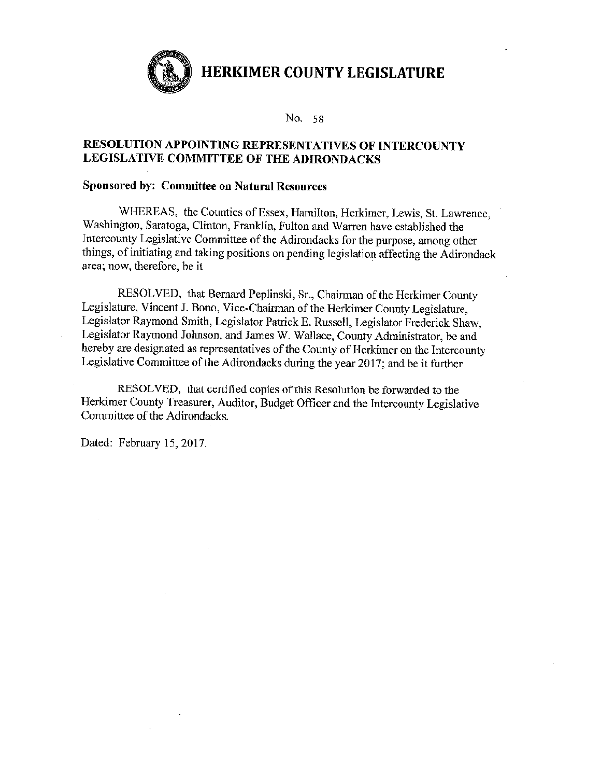No. 58

#### RESOLUTION APPOINTING REPRESENTATIVES OF INTERCOUNTY LEGISLATIVE COMMITTEE OF THE ADIRONDACKS

#### **Sponsored by: Committee on Natural Resources**

WHEREAS, the Counties of Essex, Hamilton, Herkimer, Lewis, St. Lawrence, Washington, Saratoga, Clinton, Franklin, Fulton and Warren have established the Intercounty Legislative Committee of the Adirondacks for the purpose, among other things, of initiating and taking positions on pending legislation affecting the Adirondack area; now, therefore, be it

RESOLVED, that Bernard Peplinski, Sr., Chairman of the Herkimer County Legislature, Vincent J. Bono, Vice-Chairman of the Herkimer County Legislature, Legislator Raymond Smith, Legislator Patrick E. Russell, Legislator Frederick Shaw, Legislator Raymond Johnson, and James W. Wallace, County Administrator, be and hereby are designated as representatives of the County of Herkimer on the Intercounty Legislative Committee of the Adirondacks during the year 2017; and be it further

RESOLVED, that certified copies of this Resolution be forwarded to the Herkimer County Treasurer, Auditor, Budget Officer and the Intercounty Legislative Committee of the Adirondacks,